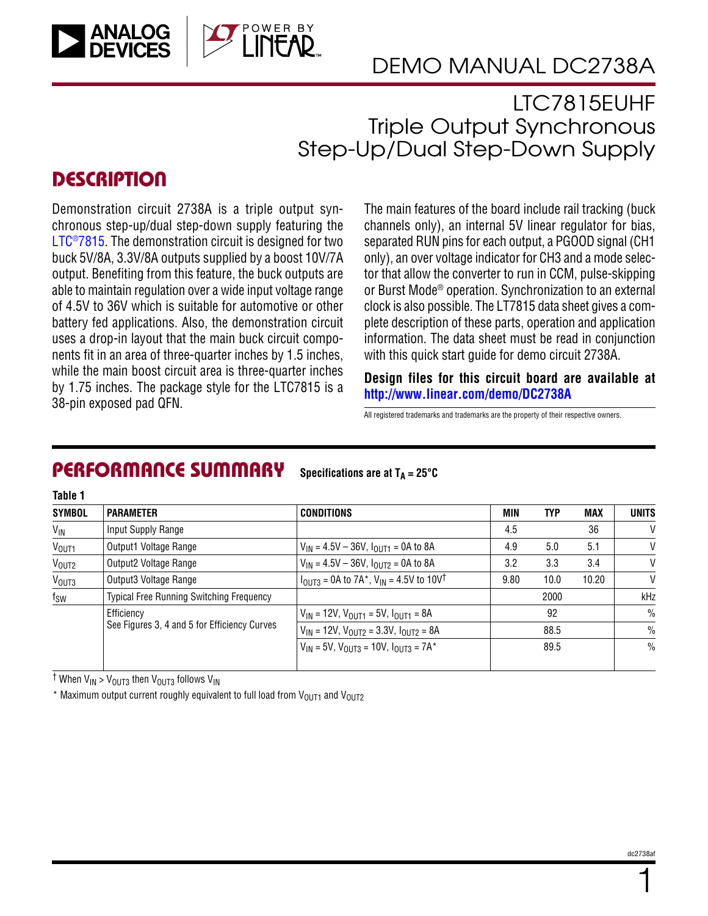

## DEMO MANUAL DC2738A

LTC7815EUHF Triple Output Synchronous Step-Up/Dual Step-Down Supply

### **DESCRIPTION**

**Table 1**

Demonstration circuit 2738A is a triple output synchronous step-up/dual step-down supply featuring the LTC<sup>®</sup>7815. The demonstration circuit is designed for two buck 5V/8A, 3.3V/8A outputs supplied by a boost 10V/7A output. Benefiting from this feature, the buck outputs are able to maintain regulation over a wide input voltage range of 4.5V to 36V which is suitable for automotive or other battery fed applications. Also, the demonstration circuit uses a drop-in layout that the main buck circuit components fit in an area of three-quarter inches by 1.5 inches, while the main boost circuit area is three-quarter inches by 1.75 inches. The package style for the LTC7815 is a 38-pin exposed pad QFN.

The main features of the board include rail tracking (buck channels only), an internal 5V linear regulator for bias, separated RUN pins for each output, a PGOOD signal (CH1 only), an over voltage indicator for CH3 and a mode selector that allow the converter to run in CCM, pulse-skipping or Burst Mode® operation. Synchronization to an external clock is also possible. The LT7815 data sheet gives a complete description of these parts, operation and application information. The data sheet must be read in conjunction with this quick start guide for demo circuit 2738A.

**Design files for this circuit board are available at <http://www.linear.com/demo/DC2738A>**

All registered trademarks and trademarks are the property of their respective owners.

#### PERFORMANCE SUMMARY **Specifications are at**  $T_A = 25^\circ C$

| IUNIC I           |                                                            |                                                                                        |            |      |            |               |
|-------------------|------------------------------------------------------------|----------------------------------------------------------------------------------------|------------|------|------------|---------------|
| <b>SYMBOL</b>     | <b>PARAMETER</b>                                           | <b>CONDITIONS</b>                                                                      | <b>MIN</b> | TYP  | <b>MAX</b> | <b>UNITS</b>  |
| $V_{IN}$          | Input Supply Range                                         |                                                                                        | 4.5        |      | 36         | V             |
| V <sub>OUT1</sub> | Output1 Voltage Range                                      | $V_{IN}$ = 4.5V – 36V, $I_{OUIT1}$ = 0A to 8A                                          | 4.9        | 5.0  | 5.1        | V             |
| V <sub>OUT2</sub> | Output2 Voltage Range                                      | $V_{IN} = 4.5V - 36V$ , $I_{OUT2} = 0A$ to 8A                                          | 3.2        | 3.3  | 3.4        | V             |
| V <sub>OUT3</sub> | Output3 Voltage Range                                      | $l_{\text{OUT3}}$ = 0A to 7A <sup>*</sup> , V <sub>IN</sub> = 4.5V to 10V <sup>†</sup> | 9.80       | 10.0 | 10.20      | V             |
| $f_{SW}$          | <b>Typical Free Running Switching Frequency</b>            |                                                                                        |            | 2000 |            | kHz           |
|                   | Efficiency<br>See Figures 3, 4 and 5 for Efficiency Curves | $V_{IN}$ = 12V, $V_{OUT1}$ = 5V, $I_{OUT1}$ = 8A                                       |            | 92   |            | $\frac{0}{0}$ |
|                   |                                                            | $V_{IN}$ = 12V, $V_{OUT2}$ = 3.3V, $I_{OUT2}$ = 8A                                     |            | 88.5 |            | $\frac{0}{0}$ |
|                   |                                                            | $V_{1N} = 5V$ , $V_{011T3} = 10V$ , $I_{011T3} = 7A^*$                                 |            | 89.5 |            | $\frac{0}{0}$ |

<sup>†</sup> When V<sub>IN</sub> > V<sub>OUT3</sub> then V<sub>OUT3</sub> follows V<sub>IN</sub>

\* Maximum output current roughly equivalent to full load from  $V_{OUT1}$  and  $V_{OUT2}$ 

1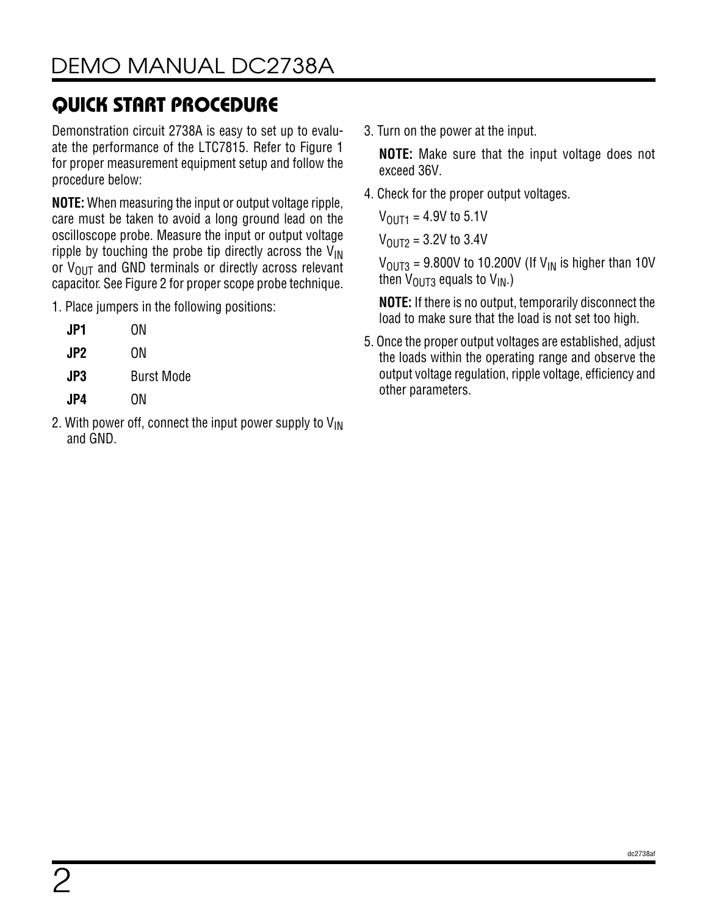Demonstration circuit 2738A is easy to set up to evaluate the performance of the LTC7815. Refer to Figure 1 for proper measurement equipment setup and follow the procedure below:

**NOTE:** When measuring the input or output voltage ripple, care must be taken to avoid a long ground lead on the oscilloscope probe. Measure the input or output voltage ripple by touching the probe tip directly across the  $V_{IN}$ or  $V_{\text{OUT}}$  and GND terminals or directly across relevant capacitor. See Figure 2 for proper scope probe technique.

1. Place jumpers in the following positions:

| JP1             | ΟN                |
|-----------------|-------------------|
| JP <sub>2</sub> | ON                |
| JP3             | <b>Burst Mode</b> |
| JP4.            | ΟN                |

2. With power off, connect the input power supply to  $V_{\text{IN}}$ and GND.

3. Turn on the power at the input.

**NOTE:** Make sure that the input voltage does not exceed 36V.

4. Check for the proper output voltages.

 $V_{\text{OUT1}} = 4.9V$  to 5.1V

 $V_{OIII2} = 3.2V$  to 3.4V

 $V_{\text{OUT3}}$  = 9.800V to 10.200V (If V<sub>IN</sub> is higher than 10V then  $V_{\text{OUT3}}$  equals to  $V_{\text{IN}}$ .)

**NOTE:** If there is no output, temporarily disconnect the load to make sure that the load is not set too high.

5. Once the proper output voltages are established, adjust the loads within the operating range and observe the output voltage regulation, ripple voltage, efficiency and other parameters.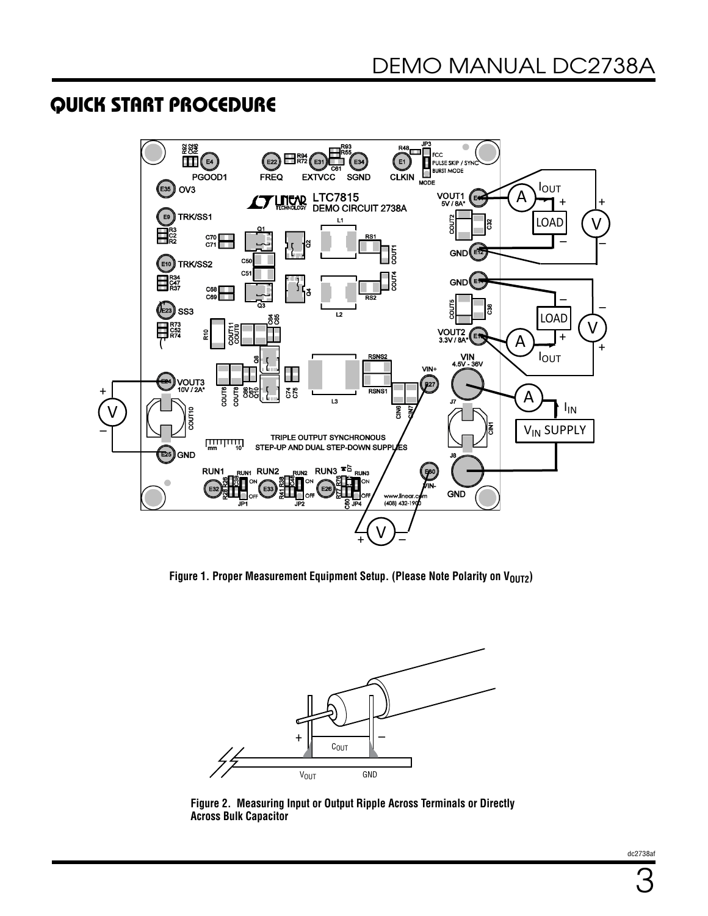

Figure 1. Proper Measurement Equipment Setup. (Please Note Polarity on V<sub>OUT2</sub>)



**Figure 2. Measuring Input or Output Ripple Across Terminals or Directly Across Bulk Capacitor**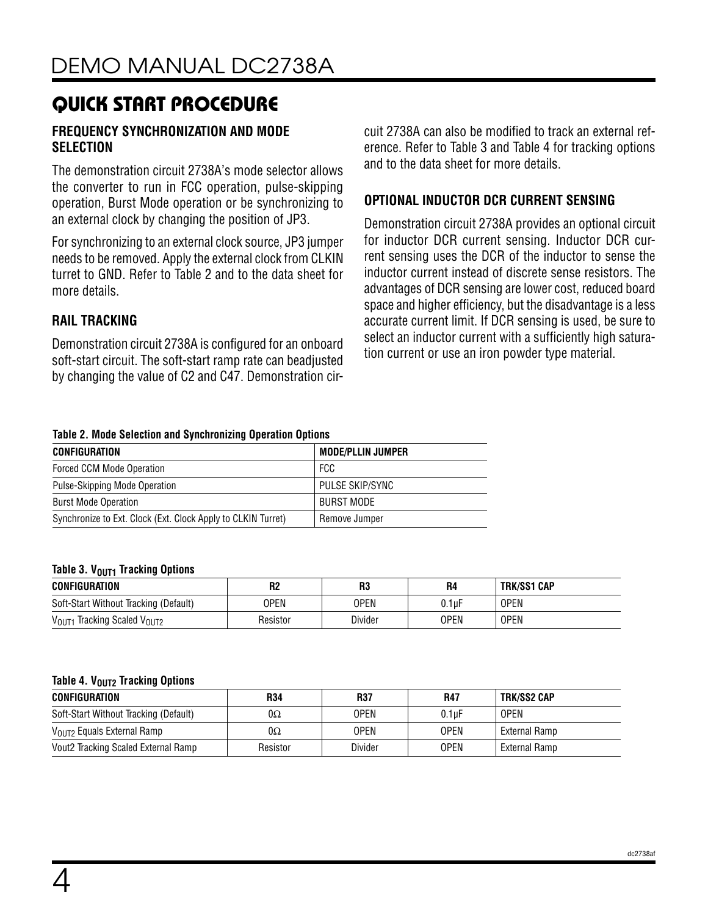#### **FREQUENCY SYNCHRONIZATION AND MODE SELECTION**

The demonstration circuit 2738A's mode selector allows the converter to run in FCC operation, pulse-skipping operation, Burst Mode operation or be synchronizing to an external clock by changing the position of JP3.

For synchronizing to an external clock source, JP3 jumper needs to be removed. Apply the external clock from CLKIN turret to GND. Refer to Table 2 and to the data sheet for more details.

### **RAIL TRACKING**

Demonstration circuit 2738A is configured for an onboard soft-start circuit. The soft-start ramp rate can beadjusted by changing the value of C2 and C47. Demonstration circuit 2738A can also be modified to track an external reference. Refer to Table 3 and Table 4 for tracking options and to the data sheet for more details.

#### **OPTIONAL INDUCTOR DCR CURRENT SENSING**

Demonstration circuit 2738A provides an optional circuit for inductor DCR current sensing. Inductor DCR current sensing uses the DCR of the inductor to sense the inductor current instead of discrete sense resistors. The advantages of DCR sensing are lower cost, reduced board space and higher efficiency, but the disadvantage is a less accurate current limit. If DCR sensing is used, be sure to select an inductor current with a sufficiently high saturation current or use an iron powder type material.

#### **Table 2. Mode Selection and Synchronizing Operation Options**

| <b>CONFIGURATION</b>                                         | <b>MODE/PLLIN JUMPER</b> |
|--------------------------------------------------------------|--------------------------|
| Forced CCM Mode Operation                                    | FCC                      |
| Pulse-Skipping Mode Operation                                | PULSE SKIP/SYNC          |
| <b>Burst Mode Operation</b>                                  | BURST MODE               |
| Synchronize to Ext. Clock (Ext. Clock Apply to CLKIN Turret) | Remove Jumper            |

#### **Table 3. VOUT1 Tracking Options**

| <b>CONFIGURATION</b>                                      | R2       | R3          | <b>R4</b> | <b>TRK/SS1 CAP</b> |  |
|-----------------------------------------------------------|----------|-------------|-----------|--------------------|--|
| Soft-Start Without Tracking (Default)                     | OPEN     | <b>OPEN</b> | 0.1uF     | <b>OPEN</b>        |  |
| V <sub>OUT1</sub><br>$_1$ Tracking Scaled V $_{\rm OUT2}$ | Resistor | Divider     | OPEN      | <b>OPEN</b>        |  |

#### **Table 4. VOUT2 Tracking Options**

| CONFIGURATION                          | R34      | R37         | R47         | TRK/SS2 CAP   |
|----------------------------------------|----------|-------------|-------------|---------------|
| Soft-Start Without Tracking (Default)  | 0Ω       | <b>OPEN</b> | $0.1$ uF    | <b>OPEN</b>   |
| V <sub>OUT2</sub> Equals External Ramp | 0Ω       | <b>OPEN</b> | <b>OPEN</b> | External Ramp |
| Vout2 Tracking Scaled External Ramp    | Resistor | Divider     | <b>OPEN</b> | External Ramp |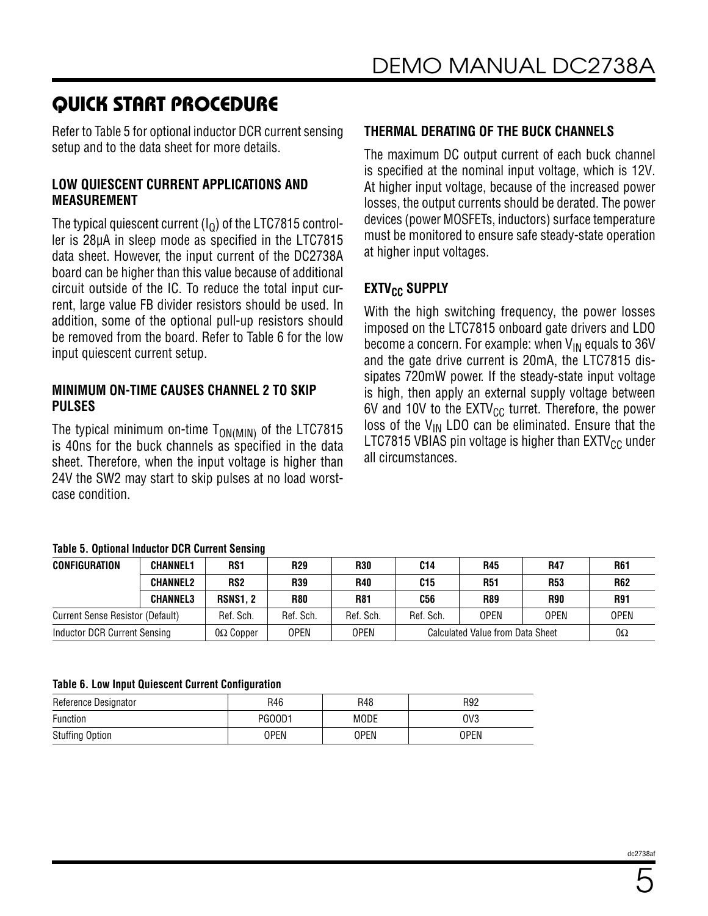Refer to Table 5 for optional inductor DCR current sensing setup and to the data sheet for more details.

#### **LOW QUIESCENT CURRENT APPLICATIONS AND MEASUREMENT**

The typical quiescent current  $(I<sub>0</sub>)$  of the LTC7815 controller is 28µA in sleep mode as specified in the LTC7815 data sheet. However, the input current of the DC2738A board can be higher than this value because of additional circuit outside of the IC. To reduce the total input current, large value FB divider resistors should be used. In addition, some of the optional pull-up resistors should be removed from the board. Refer to Table 6 for the low input quiescent current setup.

#### **MINIMUM ON-TIME CAUSES CHANNEL 2 TO SKIP PULSES**

The typical minimum on-time  $T_{ON(MIN)}$  of the LTC7815 is 40ns for the buck channels as specified in the data sheet. Therefore, when the input voltage is higher than 24V the SW2 may start to skip pulses at no load worstcase condition.

#### **Table 5. Optional Inductor DCR Current Sensing**

| <b>CONFIGURATION</b>                    | <b>CHANNEL1</b> | RS <sub>1</sub>  | <b>R29</b>  | <b>R30</b>  | C14                              | <b>R45</b>  | <b>R47</b>  | <b>R61</b>  |
|-----------------------------------------|-----------------|------------------|-------------|-------------|----------------------------------|-------------|-------------|-------------|
|                                         | <b>CHANNEL2</b> | RS <sub>2</sub>  | <b>R39</b>  | <b>R40</b>  | C15                              | <b>R51</b>  | <b>R53</b>  | <b>R62</b>  |
|                                         | <b>CHANNEL3</b> | <b>RSNS1.2</b>   | <b>R80</b>  | <b>R81</b>  | <b>C56</b>                       | <b>R89</b>  | <b>R90</b>  | <b>R91</b>  |
| <b>Current Sense Resistor (Default)</b> |                 | Ref. Sch.        | Ref. Sch.   | Ref. Sch.   | Ref. Sch.                        | <b>OPEN</b> | <b>OPEN</b> | <b>OPEN</b> |
| Inductor DCR Current Sensing            |                 | $0\Omega$ Copper | <b>OPEN</b> | <b>OPEN</b> | Calculated Value from Data Sheet |             | $0\Omega$   |             |

#### **Table 6. Low Input Quiescent Current Configuration**

| Reference Designator   | R46    | R48         | R92             |
|------------------------|--------|-------------|-----------------|
| Function               | PG00D1 | <b>MODE</b> | OV <sub>3</sub> |
| <b>Stuffing Option</b> | OPEN   | <b>OPEN</b> | OPEN            |

### **THERMAL DERATING OF THE BUCK CHANNELS**

The maximum DC output current of each buck channel is specified at the nominal input voltage, which is 12V. At higher input voltage, because of the increased power losses, the output currents should be derated. The power devices (power MOSFETs, inductors) surface temperature must be monitored to ensure safe steady-state operation at higher input voltages.

### **EXTV<sub>CC</sub> SUPPLY**

With the high switching frequency, the power losses imposed on the LTC7815 onboard gate drivers and LDO become a concern. For example: when  $V_{IN}$  equals to 36V and the gate drive current is 20mA, the LTC7815 dissipates 720mW power. If the steady-state input voltage is high, then apply an external supply voltage between 6V and 10V to the  $EXTV_{CC}$  turret. Therefore, the power loss of the  $V_{IN}$  LDO can be eliminated. Ensure that the LTC7815 VBIAS pin voltage is higher than  $EXTV_{CC}$  under all circumstances.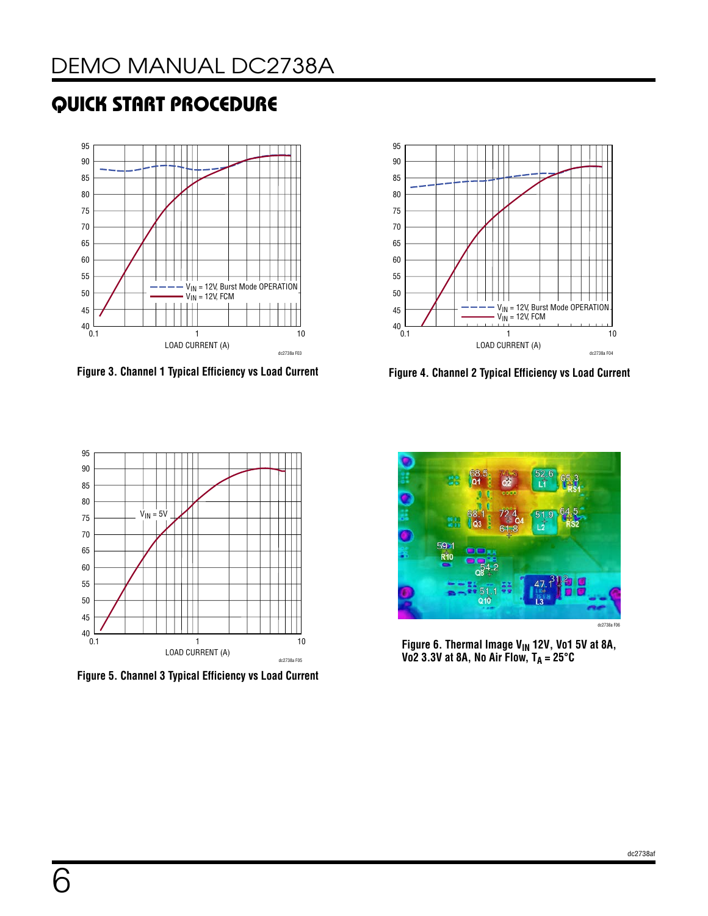



**Figure 3. Channel 1 Typical Efficiency vs Load Current Figure 4. Channel 2 Typical Efficiency vs Load Current**



**Figure 5. Channel 3 Typical Efficiency vs Load Current**



Figure 6. Thermal Image V<sub>IN</sub> 12V, Vo1 5V at 8A, **Vo2 3.3V at 8A, No Air Flow, TA = 25°C**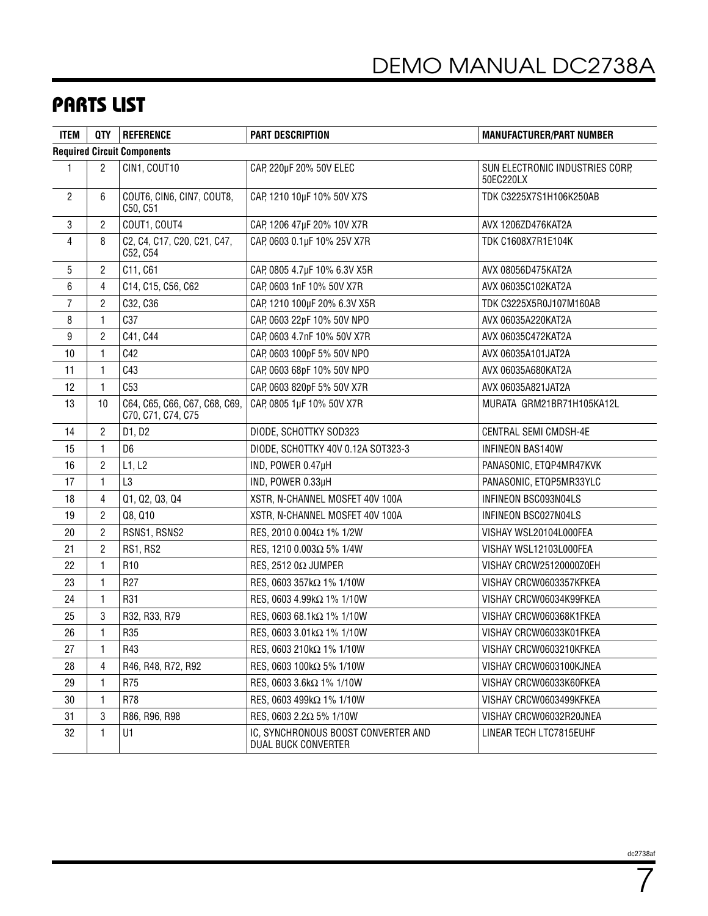## PARTS LIST

| <b>ITEM</b>    | QTY                                | <b>REFERENCE</b>                                    | <b>PART DESCRIPTION</b>                                    | <b>MANUFACTURER/PART NUMBER</b>              |  |  |  |  |
|----------------|------------------------------------|-----------------------------------------------------|------------------------------------------------------------|----------------------------------------------|--|--|--|--|
|                | <b>Required Circuit Components</b> |                                                     |                                                            |                                              |  |  |  |  |
| 1              | $\overline{2}$                     | CIN1, COUT10                                        | CAP, 220µF 20% 50V ELEC                                    | SUN ELECTRONIC INDUSTRIES CORP.<br>50EC220LX |  |  |  |  |
| $\overline{c}$ | 6                                  | COUT6, CIN6, CIN7, COUT8,<br>C50, C51               | CAP, 1210 10µF 10% 50V X7S                                 | TDK C3225X7S1H106K250AB                      |  |  |  |  |
| 3              | $\overline{c}$                     | COUT1, COUT4                                        | CAP, 1206 47µF 20% 10V X7R                                 | AVX 1206ZD476KAT2A                           |  |  |  |  |
| 4              | 8                                  | C2, C4, C17, C20, C21, C47,<br>C52, C54             | CAP, 0603 0.1µF 10% 25V X7R                                | <b>TDK C1608X7R1E104K</b>                    |  |  |  |  |
| 5              | $\overline{2}$                     | C11, C61                                            | CAP, 0805 4.7µF 10% 6.3V X5R                               | AVX 08056D475KAT2A                           |  |  |  |  |
| 6              | 4                                  | C14, C15, C56, C62                                  | CAP, 0603 1nF 10% 50V X7R                                  | AVX 06035C102KAT2A                           |  |  |  |  |
| 7              | $\overline{c}$                     | C32, C36                                            | CAP, 1210 100µF 20% 6.3V X5R                               | TDK C3225X5R0J107M160AB                      |  |  |  |  |
| 8              | $\mathbf{1}$                       | C37                                                 | CAP, 0603 22pF 10% 50V NPO                                 | AVX 06035A220KAT2A                           |  |  |  |  |
| 9              | $\overline{2}$                     | C41, C44                                            | CAP, 0603 4.7nF 10% 50V X7R                                | AVX 06035C472KAT2A                           |  |  |  |  |
| 10             | $\mathbf{1}$                       | C42                                                 | CAP, 0603 100pF 5% 50V NPO                                 | AVX 06035A101JAT2A                           |  |  |  |  |
| 11             | $\mathbf{1}$                       | C43                                                 | CAP, 0603 68pF 10% 50V NPO                                 | AVX 06035A680KAT2A                           |  |  |  |  |
| 12             | $\mathbf{1}$                       | C53                                                 | CAP, 0603 820pF 5% 50V X7R                                 | AVX 06035A821JAT2A                           |  |  |  |  |
| 13             | 10                                 | C64, C65, C66, C67, C68, C69,<br>C70, C71, C74, C75 | CAP, 0805 1µF 10% 50V X7R                                  | MURATA GRM21BR71H105KA12L                    |  |  |  |  |
| 14             | $\overline{c}$                     | D1, D2                                              | DIODE, SCHOTTKY SOD323                                     | CENTRAL SEMI CMDSH-4E                        |  |  |  |  |
| 15             | $\mathbf{1}$                       | D <sub>6</sub>                                      | DIODE, SCHOTTKY 40V 0.12A SOT323-3                         | <b>INFINEON BAS140W</b>                      |  |  |  |  |
| 16             | $\overline{c}$                     | L1, L2                                              | IND, POWER 0.47µH                                          | PANASONIC, ETQP4MR47KVK                      |  |  |  |  |
| 17             | $\mathbf{1}$                       | L3                                                  | IND, POWER 0.33µH                                          | PANASONIC, ETQP5MR33YLC                      |  |  |  |  |
| 18             | 4                                  | Q1, Q2, Q3, Q4                                      | XSTR, N-CHANNEL MOSFET 40V 100A                            | INFINEON BSC093N04LS                         |  |  |  |  |
| 19             | 2                                  | Q8, Q10                                             | XSTR, N-CHANNEL MOSFET 40V 100A                            | INFINEON BSC027N04LS                         |  |  |  |  |
| 20             | $\overline{2}$                     | RSNS1, RSNS2                                        | RES, 2010 0.004Ω 1% 1/2W                                   | VISHAY WSL20104L000FEA                       |  |  |  |  |
| 21             | $\overline{c}$                     | <b>RS1, RS2</b>                                     | RES, 1210 0.003Ω 5% 1/4W                                   | VISHAY WSL12103L000FEA                       |  |  |  |  |
| 22             | $\mathbf{1}$                       | R <sub>10</sub>                                     | RES, 2512 0 $\Omega$ JUMPER                                | VISHAY CRCW25120000Z0EH                      |  |  |  |  |
| 23             | $\mathbf{1}$                       | R <sub>27</sub>                                     | RES, 0603 357kΩ 1% 1/10W                                   | VISHAY CRCW0603357KFKEA                      |  |  |  |  |
| 24             | $\mathbf{1}$                       | R31                                                 | RES, 0603 4.99kΩ 1% 1/10W                                  | VISHAY CRCW06034K99FKEA                      |  |  |  |  |
| 25             | 3                                  | R32, R33, R79                                       | RES, 0603 68.1kΩ 1% 1/10W                                  | VISHAY CRCW060368K1FKEA                      |  |  |  |  |
| 26             | $\mathbf{1}$                       | R35                                                 | RES, 0603 3.01kΩ 1% 1/10W                                  | VISHAY CRCW06033K01FKEA                      |  |  |  |  |
| 27             | 1                                  | R43                                                 | RES, 0603 210kΩ 1% 1/10W                                   | VISHAY CRCW0603210KFKEA                      |  |  |  |  |
| 28             | 4                                  | R46, R48, R72, R92                                  | RES, 0603 100kΩ 5% 1/10W                                   | VISHAY CRCW0603100KJNEA                      |  |  |  |  |
| 29             | 1                                  | R75                                                 | RES, 0603 3.6kΩ 1% 1/10W                                   | VISHAY CRCW06033K60FKEA                      |  |  |  |  |
| 30             | 1                                  | R78                                                 | RES, 0603 499k $\Omega$ 1% 1/10W                           | VISHAY CRCW0603499KFKEA                      |  |  |  |  |
| 31             | 3                                  | R86, R96, R98                                       | RES, 0603 2.2Ω 5% 1/10W                                    | VISHAY CRCW06032R20JNEA                      |  |  |  |  |
| 32             | $\mathbf{1}$                       | U1                                                  | IC, SYNCHRONOUS BOOST CONVERTER AND<br>DUAL BUCK CONVERTER | LINEAR TECH LTC7815EUHF                      |  |  |  |  |

7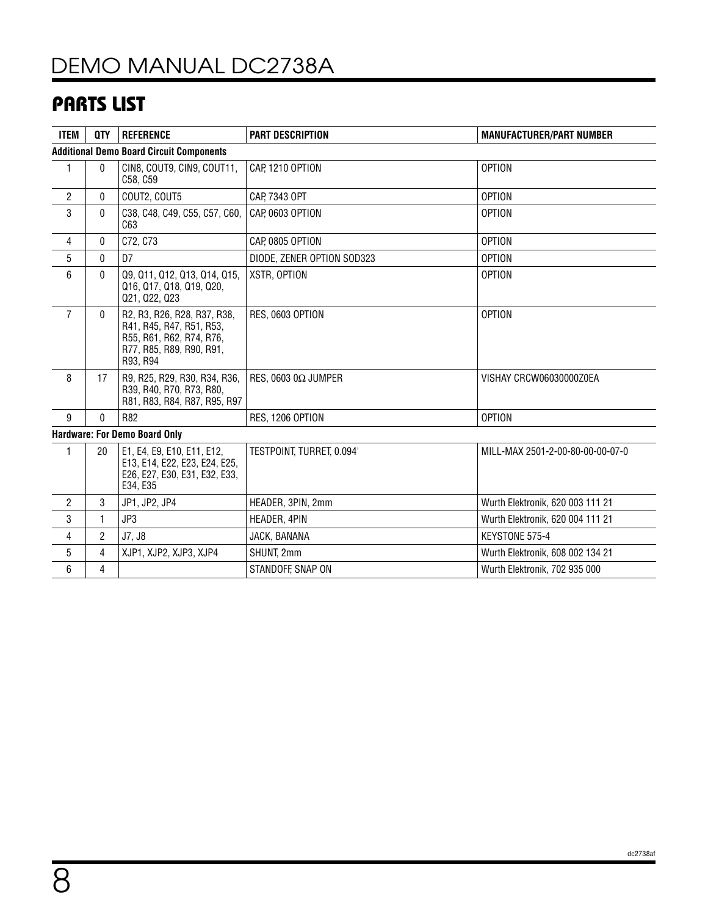# DEMO MANUAL DC2738A

### PARTS LIST

| <b>ITEM</b>                                     | <b>QTY</b>     | <b>REFERENCE</b>                                                                                                            | <b>PART DESCRIPTION</b>     | <b>MANUFACTURER/PART NUMBER</b>  |  |  |  |  |
|-------------------------------------------------|----------------|-----------------------------------------------------------------------------------------------------------------------------|-----------------------------|----------------------------------|--|--|--|--|
| <b>Additional Demo Board Circuit Components</b> |                |                                                                                                                             |                             |                                  |  |  |  |  |
| 1                                               | $\mathbf{0}$   | CIN8, COUT9, CIN9, COUT11,<br>C58, C59                                                                                      | CAP, 1210 OPTION            | <b>OPTION</b>                    |  |  |  |  |
| $\overline{2}$                                  | $\mathbf{0}$   | COUT2, COUT5                                                                                                                | CAP, 7343 OPT               | <b>OPTION</b>                    |  |  |  |  |
| 3                                               | 0              | C38, C48, C49, C55, C57, C60,<br>C63                                                                                        | CAP, 0603 OPTION            | <b>OPTION</b>                    |  |  |  |  |
| 4                                               | $\mathbf{0}$   | C72, C73                                                                                                                    | CAP, 0805 OPTION            | <b>OPTION</b>                    |  |  |  |  |
| 5                                               | 0              | D7                                                                                                                          | DIODE. ZENER OPTION SOD323  | <b>OPTION</b>                    |  |  |  |  |
| 6                                               | 0              | Q9, Q11, Q12, Q13, Q14, Q15,<br>Q16, Q17, Q18, Q19, Q20,<br>Q21, Q22, Q23                                                   | XSTR, OPTION                | <b>OPTION</b>                    |  |  |  |  |
| $\overline{7}$                                  | 0              | R2, R3, R26, R28, R37, R38,<br>R41, R45, R47, R51, R53,<br>R55, R61, R62, R74, R76,<br>R77, R85, R89, R90, R91,<br>R93, R94 | RES, 0603 OPTION            | <b>OPTION</b>                    |  |  |  |  |
| 8                                               | 17             | R9, R25, R29, R30, R34, R36,<br>R39, R40, R70, R73, R80,<br>R81, R83, R84, R87, R95, R97                                    | RES, 0603 0 $\Omega$ JUMPER | VISHAY CRCW06030000Z0EA          |  |  |  |  |
| 9                                               | 0              | R82                                                                                                                         | <b>RES. 1206 OPTION</b>     | <b>OPTION</b>                    |  |  |  |  |
|                                                 |                | <b>Hardware: For Demo Board Only</b>                                                                                        |                             |                                  |  |  |  |  |
| 1                                               | 20             | E1, E4, E9, E10, E11, E12,<br>E13, E14, E22, E23, E24, E25,<br>E26, E27, E30, E31, E32, E33,<br>E34, E35                    | TESTPOINT, TURRET, 0.094'   | MILL-MAX 2501-2-00-80-00-00-07-0 |  |  |  |  |
| $\overline{2}$                                  | 3              | JP1, JP2, JP4                                                                                                               | HEADER, 3PIN, 2mm           | Wurth Elektronik, 620 003 111 21 |  |  |  |  |
| 3                                               | $\mathbf{1}$   | JP3                                                                                                                         | HEADER, 4PIN                | Wurth Elektronik, 620 004 111 21 |  |  |  |  |
| 4                                               | $\overline{c}$ | J7, J8                                                                                                                      | JACK, BANANA                | KEYSTONE 575-4                   |  |  |  |  |
| 5                                               | 4              | XJP1, XJP2, XJP3, XJP4                                                                                                      | SHUNT, 2mm                  | Wurth Elektronik, 608 002 134 21 |  |  |  |  |
| 6                                               | 4              |                                                                                                                             | STANDOFF, SNAP ON           | Wurth Elektronik, 702 935 000    |  |  |  |  |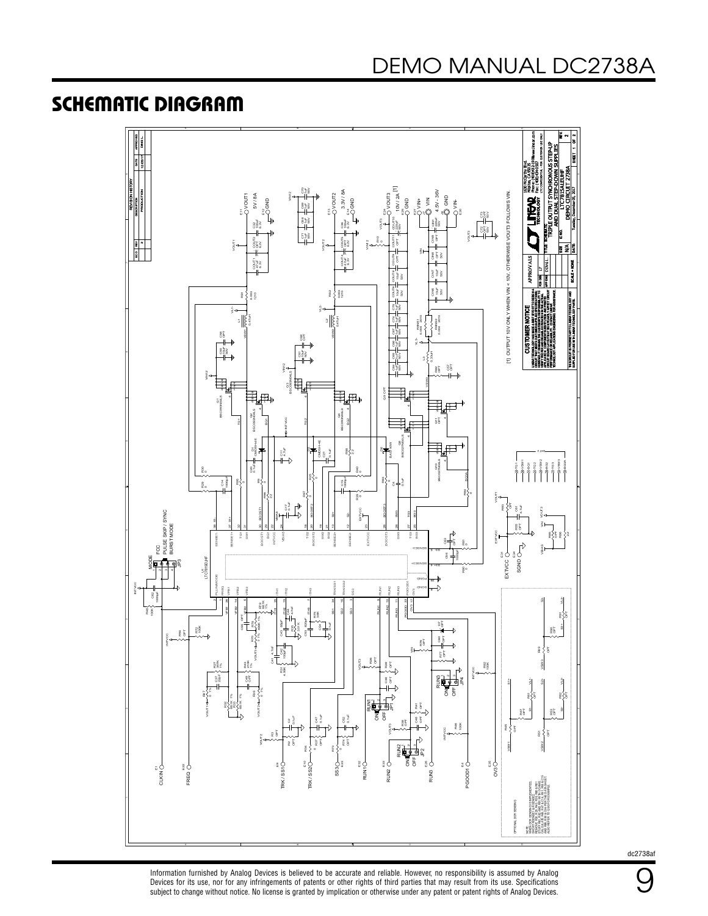### SCHEMATIC DIAGRAM



dc2738af

9

Information furnished by Analog Devices is believed to be accurate and reliable. However, no responsibility is assumed by Analog Devices for its use, nor for any infringements of patents or other rights of third parties that may result from its use. Specifications<br>subject to change without notice. No license is granted by implication or otherwise un